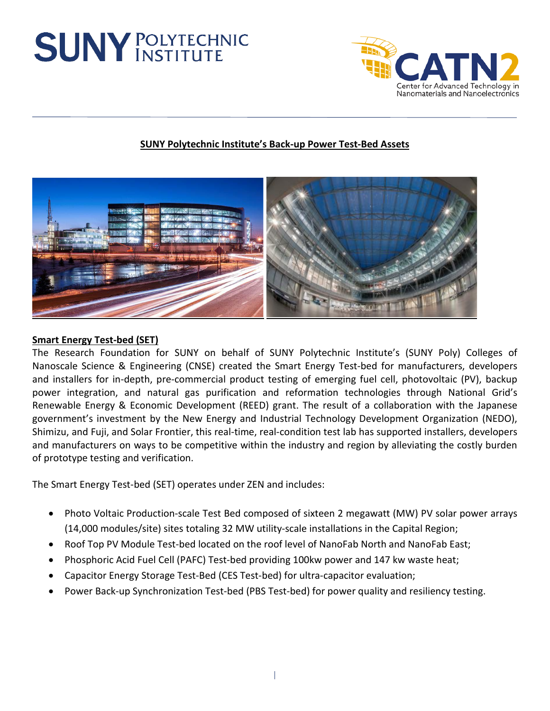# **SUNY POLYTECHNIC**



## **SUNY Polytechnic Institute's Back-up Power Test-Bed Assets**



### **Smart Energy Test-bed (SET)**

The Research Foundation for SUNY on behalf of SUNY Polytechnic Institute's (SUNY Poly) Colleges of Nanoscale Science & Engineering (CNSE) created the Smart Energy Test-bed for manufacturers, developers and installers for in-depth, pre-commercial product testing of emerging fuel cell, photovoltaic (PV), backup power integration, and natural gas purification and reformation technologies through National Grid's Renewable Energy & Economic Development (REED) grant. The result of a collaboration with the Japanese government's investment by the New Energy and Industrial Technology Development Organization (NEDO), Shimizu, and Fuji, and Solar Frontier, this real-time, real-condition test lab has supported installers, developers and manufacturers on ways to be competitive within the industry and region by alleviating the costly burden of prototype testing and verification.

The Smart Energy Test-bed (SET) operates under ZEN and includes:

- Photo Voltaic Production-scale Test Bed composed of sixteen 2 megawatt (MW) PV solar power arrays (14,000 modules/site) sites totaling 32 MW utility-scale installations in the Capital Region;
- Roof Top PV Module Test-bed located on the roof level of NanoFab North and NanoFab East;
- Phosphoric Acid Fuel Cell (PAFC) Test-bed providing 100kw power and 147 kw waste heat;
- Capacitor Energy Storage Test-Bed (CES Test-bed) for ultra-capacitor evaluation;
- Power Back-up Synchronization Test-bed (PBS Test-bed) for power quality and resiliency testing.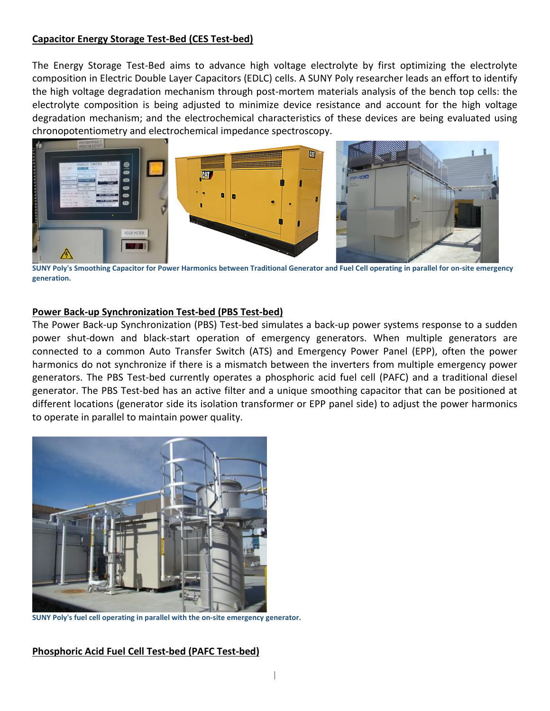#### **Capacitor Energy Storage Test-Bed (CES Test-bed)**

The Energy Storage Test-Bed aims to advance high voltage electrolyte by first optimizing the electrolyte composition in Electric Double Layer Capacitors (EDLC) cells. A SUNY Poly researcher leads an effort to identify the high voltage degradation mechanism through post-mortem materials analysis of the bench top cells: the electrolyte composition is being adjusted to minimize device resistance and account for the high voltage degradation mechanism; and the electrochemical characteristics of these devices are being evaluated using chronopotentiometry and electrochemical impedance spectroscopy.



**SUNY Poly's Smoothing Capacitor for Power Harmonics between Traditional Generator and Fuel Cell operating in parallel for on-site emergency generation.**

#### **Power Back-up Synchronization Test-bed (PBS Test-bed)**

The Power Back-up Synchronization (PBS) Test-bed simulates a back-up power systems response to a sudden power shut-down and black-start operation of emergency generators. When multiple generators are connected to a common Auto Transfer Switch (ATS) and Emergency Power Panel (EPP), often the power harmonics do not synchronize if there is a mismatch between the inverters from multiple emergency power generators. The PBS Test-bed currently operates a phosphoric acid fuel cell (PAFC) and a traditional diesel generator. The PBS Test-bed has an active filter and a unique smoothing capacitor that can be positioned at different locations (generator side its isolation transformer or EPP panel side) to adjust the power harmonics to operate in parallel to maintain power quality.



**SUNY Poly's fuel cell operating in parallel with the on-site emergency generator.**

#### **Phosphoric Acid Fuel Cell Test-bed (PAFC Test-bed)**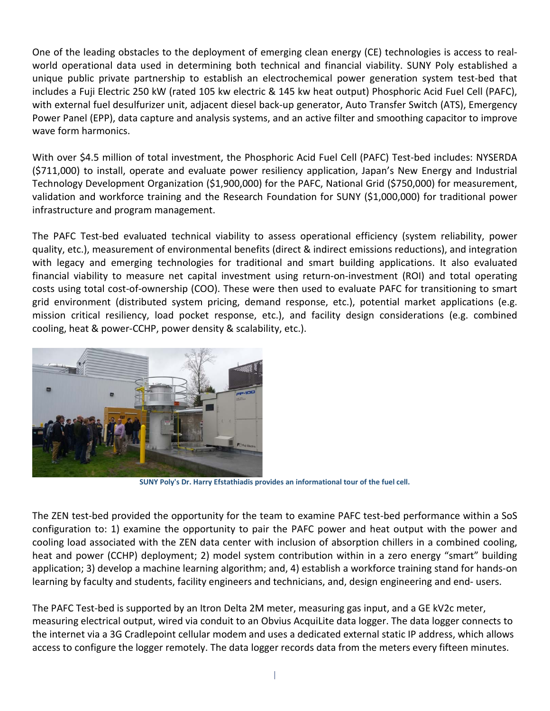One of the leading obstacles to the deployment of emerging clean energy (CE) technologies is access to realworld operational data used in determining both technical and financial viability. SUNY Poly established a unique public private partnership to establish an electrochemical power generation system test-bed that includes a Fuji Electric 250 kW (rated 105 kw electric & 145 kw heat output) Phosphoric Acid Fuel Cell (PAFC), with external fuel desulfurizer unit, adjacent diesel back-up generator, Auto Transfer Switch (ATS), Emergency Power Panel (EPP), data capture and analysis systems, and an active filter and smoothing capacitor to improve wave form harmonics.

With over \$4.5 million of total investment, the Phosphoric Acid Fuel Cell (PAFC) Test-bed includes: NYSERDA (\$711,000) to install, operate and evaluate power resiliency application, Japan's New Energy and Industrial Technology Development Organization (\$1,900,000) for the PAFC, National Grid (\$750,000) for measurement, validation and workforce training and the Research Foundation for SUNY (\$1,000,000) for traditional power infrastructure and program management.

The PAFC Test-bed evaluated technical viability to assess operational efficiency (system reliability, power quality, etc.), measurement of environmental benefits (direct & indirect emissions reductions), and integration with legacy and emerging technologies for traditional and smart building applications. It also evaluated financial viability to measure net capital investment using return-on-investment (ROI) and total operating costs using total cost-of-ownership (COO). These were then used to evaluate PAFC for transitioning to smart grid environment (distributed system pricing, demand response, etc.), potential market applications (e.g. mission critical resiliency, load pocket response, etc.), and facility design considerations (e.g. combined cooling, heat & power-CCHP, power density & scalability, etc.).



**SUNY Poly's Dr. Harry Efstathiadis provides an informational tour of the fuel cell.**

The ZEN test-bed provided the opportunity for the team to examine PAFC test-bed performance within a SoS configuration to: 1) examine the opportunity to pair the PAFC power and heat output with the power and cooling load associated with the ZEN data center with inclusion of absorption chillers in a combined cooling, heat and power (CCHP) deployment; 2) model system contribution within in a zero energy "smart" building application; 3) develop a machine learning algorithm; and, 4) establish a workforce training stand for hands-on learning by faculty and students, facility engineers and technicians, and, design engineering and end- users.

The PAFC Test-bed is supported by an Itron Delta 2M meter, measuring gas input, and a GE kV2c meter, measuring electrical output, wired via conduit to an Obvius AcquiLite data logger. The data logger connects to the internet via a 3G Cradlepoint cellular modem and uses a dedicated external static IP address, which allows access to configure the logger remotely. The data logger records data from the meters every fifteen minutes.